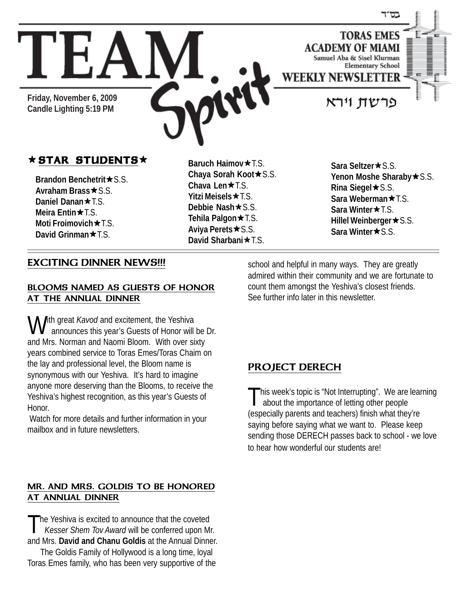

# **★ STAR STUDENTS** ★ Baruch Haimov ★ T.S. Sara Seltzer ★ S.S.

**Friday, November 6, 2009**

**Brandon Benchetrit**  $\star$  S.S. **Avraham Brass ★ S.S. Daniel Danan★**T.S. **Meira Entin** $★TS$ . **Moti Froimovich ★ T.S. David Grinman ★ T.S.** 

**Baruch Haimov**  $\star$  **T.S. Chaya Sorah Koot ★ S.S. Chava Len**<sup>★</sup>T.S. **Yitzi Meisels**ÕT.S. **Debbie Nash**★S.S. **Tehila Palgon ★ T.S. Aviya Perets ★S.S. David Sharbani ★ T.S.** 

Yenon Moshe Sharaby **\***S.S. **Rina Siegel**★S.S. **Sara Weberman ★ T.S. Sara Winter★**T.S. **Hillel Weinberger ★S.S. Sara Winter★S.S.** 

#### EXCITING DINNER NEWS!!!

#### BLOOMS NAMED AS GUESTS OF HONOR AT THE ANNUAL DINNER

With great *Kavod* and excitement, the Yeshiva<br>announces this year's Guests of Honor will be Dr. and Mrs. Norman and Naomi Bloom. With over sixty years combined service to Toras Emes/Toras Chaim on the lay and professional level, the Bloom name is synonymous with our Yeshiva. It's hard to imagine anyone more deserving than the Blooms, to receive the Yeshiva's highest recognition, as this year's Guests of Honor.

 Watch for more details and further information in your mailbox and in future newsletters.

#### MR. AND MRS. GOLDIS TO BE HONORED AT ANNUAL DINNER

The Yeshiva is excited to announce that the coveted  *Kesser Shem Tov Award* will be conferred upon Mr. and Mrs. **David and Chanu Goldis** at the Annual Dinner.

The Goldis Family of Hollywood is a long time, loyal Toras Emes family, who has been very supportive of the school and helpful in many ways. They are greatly admired within their community and we are fortunate to count them amongst the Yeshiva's closest friends. See further info later in this newsletter.

### PROJECT DERECH

 $\blacksquare$ his week's topic is "Not Interrupting". We are learning about the importance of letting other people (especially parents and teachers) finish what they're saying before saying what we want to. Please keep sending those DERECH passes back to school - we love to hear how wonderful our students are!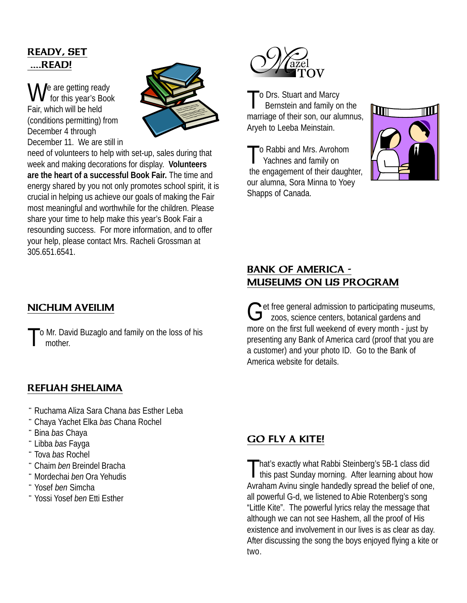# READY, SET ....READ!

We are getting ready<br>for this year's Book Fair, which will be held (conditions permitting) from December 4 through December 11. We are still in



need of volunteers to help with set-up, sales during that week and making decorations for display. **Volunteers are the heart of a successful Book Fair.** The time and energy shared by you not only promotes school spirit, it is crucial in helping us achieve our goals of making the Fair most meaningful and worthwhile for the children. Please share your time to help make this year's Book Fair a resounding success. For more information, and to offer your help, please contact Mrs. Racheli Grossman at 305.651.6541.

# NICHUM AVEILIM

To Mr. David Buzaglo and family on the loss of his mother.

### REFUAH SHELAIMA

- ¨ Ruchama Aliza Sara Chana *bas* Esther Leba
- ¨ Chaya Yachet Elka *bas* Chana Rochel
- ¨ Bina *bas* Chaya
- ¨ Libba *bas* Fayga
- ¨ Tova *bas* Rochel
- ¨ Chaim *ben* Breindel Bracha
- ¨Mordechai *ben* Ora Yehudis
- ¨ Yosef *ben* Simcha
- ¨ Yossi Yosef *ben* Etti Esther



To Drs. Stuart and Marcy Bernstein and family on the marriage of their son, our alumnus, Aryeh to Leeba Meinstain.

o Rabbi and Mrs. Avrohom Yachnes and family on the engagement of their daughter, our alumna, Sora Minna to Yoey Shapps of Canada.



# BANK OF AMERICA - MUSEUMS ON US PROGRAM

Get free general admission to participating museums,<br>  $G$  zoos, science centers, botanical gardens and more on the first full weekend of every month - just by presenting any Bank of America card (proof that you are a customer) and your photo ID. Go to the Bank of America website for details.

### GO FLY A KITE!

That's exactly what Rabbi Steinberg's 5B-1 class did<br>this past Sunday morning. After learning about how Avraham Avinu single handedly spread the belief of one, all powerful G-d, we listened to Abie Rotenberg's song "Little Kite". The powerful lyrics relay the message that although we can not see Hashem, all the proof of His existence and involvement in our lives is as clear as day. After discussing the song the boys enjoyed flying a kite or two.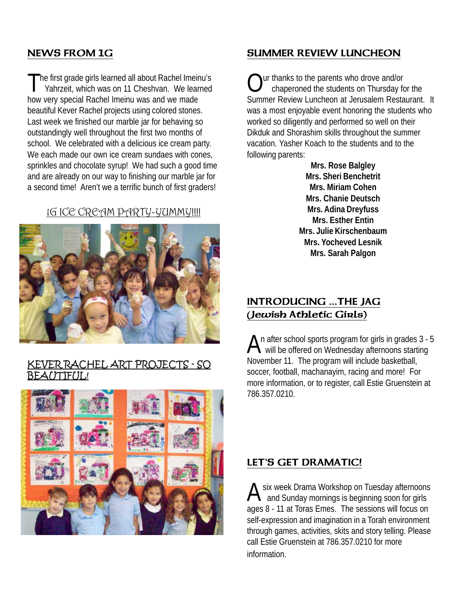# NEWS FROM 1G

The first grade girls learned all about Rachel Imeinu's<br>Yahrzeit, which was on 11 Cheshvan. We learned how very special Rachel Imeinu was and we made beautiful Kever Rachel projects using colored stones. Last week we finished our marble jar for behaving so outstandingly well throughout the first two months of school. We celebrated with a delicious ice cream party. We each made our own ice cream sundaes with cones, sprinkles and chocolate syrup! We had such a good time and are already on our way to finishing our marble jar for a second time! Aren't we a terrific bunch of first graders!

### 1G ICE CREAM PARTY-YUMMY!!!!



#### KEVER RACHEL ART PROJECTS - SO AITTFIII!



# SUMMER REVIEW LUNCHEON

ur thanks to the parents who drove and/or chaperoned the students on Thursday for the Summer Review Luncheon at Jerusalem Restaurant. It was a most enjoyable event honoring the students who worked so diligently and performed so well on their Dikduk and Shorashim skills throughout the summer vacation. Yasher Koach to the students and to the following parents:

> **Mrs. Rose Balgley Mrs. Sheri Benchetrit Mrs. Miriam Cohen Mrs. Chanie Deutsch Mrs. Adina Dreyfuss Mrs. Esther Entin Mrs. Julie Kirschenbaum Mrs. Yocheved Lesnik Mrs. Sarah Palgon**

### INTRODUCING ...THE JAG (Jewish Athletic Girls)

An after school sports program for girls in grades 3 - 5<br>will be offered on Wednesday afternoons starting November 11. The program will include basketball, soccer, football, machanayim, racing and more! For more information, or to register, call Estie Gruenstein at 786.357.0210.

### LET'S GET DRAMATIC!

A six week Drama Workshop on Tuesday afternoons<br>A and Sunday mornings is beginning soon for girls ages 8 - 11 at Toras Emes. The sessions will focus on self-expression and imagination in a Torah environment through games, activities, skits and story telling. Please call Estie Gruenstein at 786.357.0210 for more information.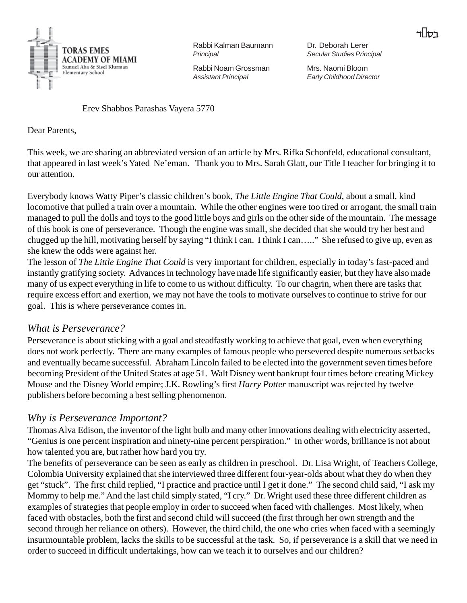

Rabbi Kalman Baumann *Principal*

Rabbi Noam Grossman *Assistant Principal*

Dr. Deborah Lerer *Secular Studies Principal*

Mrs. Naomi Bloom *Early Childhood Director*

Erev Shabbos Parashas Vayera 5770

Dear Parents,

This week, we are sharing an abbreviated version of an article by Mrs. Rifka Schonfeld, educational consultant, that appeared in last week's Yated Ne'eman. Thank you to Mrs. Sarah Glatt, our Title I teacher for bringing it to our attention.

Everybody knows Watty Piper's classic children's book, *The Little Engine That Could*, about a small, kind locomotive that pulled a train over a mountain. While the other engines were too tired or arrogant, the small train managed to pull the dolls and toys to the good little boys and girls on the other side of the mountain. The message of this book is one of perseverance. Though the engine was small, she decided that she would try her best and chugged up the hill, motivating herself by saying "I think I can. I think I can….." She refused to give up, even as she knew the odds were against her.

The lesson of *The Little Engine That Could* is very important for children, especially in today's fast-paced and instantly gratifying society. Advances in technology have made life significantly easier, but they have also made many of us expect everything in life to come to us without difficulty. To our chagrin, when there are tasks that require excess effort and exertion, we may not have the tools to motivate ourselves to continue to strive for our goal. This is where perseverance comes in.

#### *What is Perseverance?*

Perseverance is about sticking with a goal and steadfastly working to achieve that goal, even when everything does not work perfectly. There are many examples of famous people who persevered despite numerous setbacks and eventually became successful. Abraham Lincoln failed to be elected into the government seven times before becoming President of the United States at age 51. Walt Disney went bankrupt four times before creating Mickey Mouse and the Disney World empire; J.K. Rowling's first *Harry Potter* manuscript was rejected by twelve publishers before becoming a best selling phenomenon.

### *Why is Perseverance Important?*

Thomas Alva Edison, the inventor of the light bulb and many other innovations dealing with electricity asserted, "Genius is one percent inspiration and ninety-nine percent perspiration." In other words, brilliance is not about how talented you are, but rather how hard you try.

The benefits of perseverance can be seen as early as children in preschool. Dr. Lisa Wright, of Teachers College, Colombia University explained that she interviewed three different four-year-olds about what they do when they get "stuck". The first child replied, "I practice and practice until I get it done." The second child said, "I ask my Mommy to help me." And the last child simply stated, "I cry." Dr. Wright used these three different children as examples of strategies that people employ in order to succeed when faced with challenges. Most likely, when faced with obstacles, both the first and second child will succeed (the first through her own strength and the second through her reliance on others). However, the third child, the one who cries when faced with a seemingly insurmountable problem, lacks the skills to be successful at the task. So, if perseverance is a skill that we need in order to succeed in difficult undertakings, how can we teach it to ourselves and our children?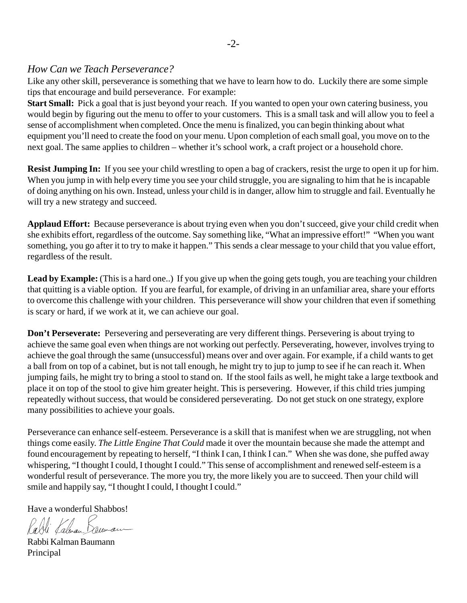#### *How Can we Teach Perseverance?*

Like any other skill, perseverance is something that we have to learn how to do. Luckily there are some simple tips that encourage and build perseverance. For example:

**Start Small:** Pick a goal that is just beyond your reach. If you wanted to open your own catering business, you would begin by figuring out the menu to offer to your customers. This is a small task and will allow you to feel a sense of accomplishment when completed. Once the menu is finalized, you can begin thinking about what equipment you'll need to create the food on your menu. Upon completion of each small goal, you move on to the next goal. The same applies to children – whether it's school work, a craft project or a household chore.

**Resist Jumping In:** If you see your child wrestling to open a bag of crackers, resist the urge to open it up for him. When you jump in with help every time you see your child struggle, you are signaling to him that he is incapable of doing anything on his own. Instead, unless your child is in danger, allow him to struggle and fail. Eventually he will try a new strategy and succeed.

**Applaud Effort:** Because perseverance is about trying even when you don't succeed, give your child credit when she exhibits effort, regardless of the outcome. Say something like, "What an impressive effort!" "When you want something, you go after it to try to make it happen." This sends a clear message to your child that you value effort, regardless of the result.

Lead by Example: (This is a hard one..) If you give up when the going gets tough, you are teaching your children that quitting is a viable option. If you are fearful, for example, of driving in an unfamiliar area, share your efforts to overcome this challenge with your children. This perseverance will show your children that even if something is scary or hard, if we work at it, we can achieve our goal.

**Don't Perseverate:** Persevering and perseverating are very different things. Persevering is about trying to achieve the same goal even when things are not working out perfectly. Perseverating, however, involves trying to achieve the goal through the same (unsuccessful) means over and over again. For example, if a child wants to get a ball from on top of a cabinet, but is not tall enough, he might try to jup to jump to see if he can reach it. When jumping fails, he might try to bring a stool to stand on. If the stool fails as well, he might take a large textbook and place it on top of the stool to give him greater height. This is persevering. However, if this child tries jumping repeatedly without success, that would be considered perseverating. Do not get stuck on one strategy, explore many possibilities to achieve your goals.

Perseverance can enhance self-esteem. Perseverance is a skill that is manifest when we are struggling, not when things come easily. *The Little Engine That Could* made it over the mountain because she made the attempt and found encouragement by repeating to herself, "I think I can, I think I can." When she was done, she puffed away whispering, "I thought I could, I thought I could." This sense of accomplishment and renewed self-esteem is a wonderful result of perseverance. The more you try, the more likely you are to succeed. Then your child will smile and happily say, "I thought I could, I thought I could."

Have a wonderful Shabbos!

Rabli Kalwan Bacuman

Rabbi Kalman Baumann Principal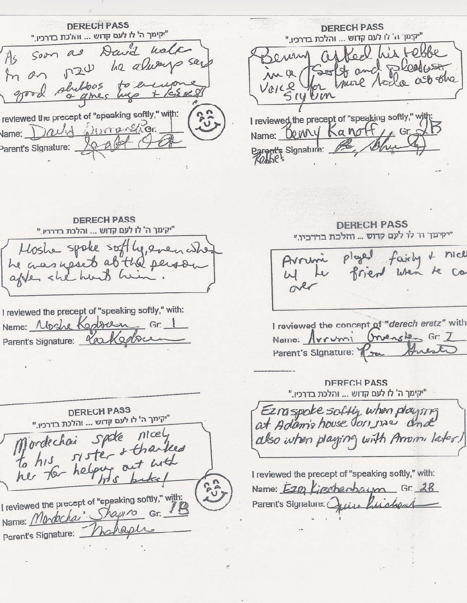**DERECH PASS** "יקימך ה' לו לעם קדוש ... והלכת בדרכיו." As soon as David water In an 120 he always say good shiltons to en of ames hep reviewed the precept of "speaking softly," with: Vame: David Whirranshigr. Parent's Signature:

**DERECH PASS** "יקימך ה' לו לעם קדוש ... והלכת בדרכיו." I his tebbe crew (U) Soult and pleasure,  $MQ$ for your ledge ast the Voice SIUWM I reviewed, the precept of "speaking softly," with Name: Denry Kanoff, Gr. Parent's Signature:

**DERECH PASS** "יקימך ה' לו לעם קדוש ... והלכת בדרכיו." Moshe spoke softly, even who he was yeset at the person after she hard him

I reviewed the precept of "speaking softly," with: Name: Moshe Kepbern Gr. 1 Parent's Signature: Reakedbee

**DERECH PASS** "יקימך ה' לו לעם קדוש ... והלכת בדרכיו." Mordechai spoke nicely to his sister & thanked her for helping out with I reviewed the precept of "speaking softly," with: Name: Mondechai Shapino Gr. 13 Parent's Signature: hohaple

**DERECH PASS** "יקימך ה' לו לעם קדוש ... והלכת בדרכיו."

 $\n *plus limit*\n  $\frac{1}{2}$ \n  $\frac{1}{2}$ \n  $\frac{1}{2}$ \n  $\frac{1}{2}$ \n  $\frac{1}{2}$ \n  $\frac{1}{2}$ \n  $\frac{1}{2}$ \n  $\frac{1}{2}$ \n  $\frac{1}{2}$ \n  $\frac{1}{2}$ \n  $\frac{1}{2}$ \n  $\frac{1}{2}$ \n  $\frac{1}{2}$ \n  $\frac{1}{2}$ \n  $\frac{1}{2}$ \n  $\frac{1}{$$ Avrim friend when te ca

I reviewed the concept of "derech eretz" with Name: Avrumi Orvensken Gr: 7 Parent's Signature: 1

**DERECH PASS** "יקימך ה' לו לעם קדוש ... והלכת בדרכיו."

Ezraspoke soltly when playing also when playing with Amoni later!

I reviewed the precept of "speaking softly," with: Name: Ezm Kirschenbaum Gr. 28 Parent's Signature: Quinc Princhent